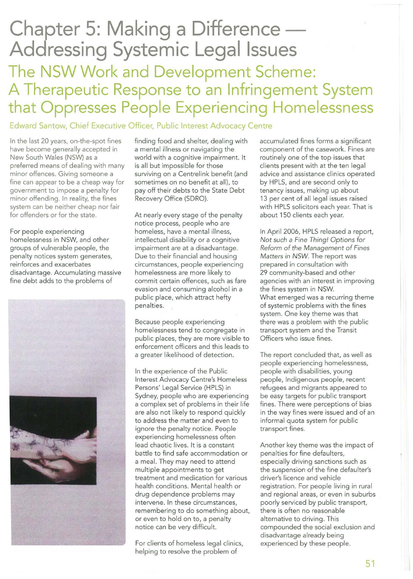## Chapter 5: Making a Difference -**Addressing Systemic Legal Issues The NSW Work and Development Scheme: A Therapeutic Response to an Infringement System that Oppresses People Experiencing Homelessness**

## Edward Santow, Chief Executive Officer, Public Interest Advocacy Centre

In the last 20 years, on-the-spot fines have become generally accepted in New South Wales (NSW) as a preferred means of dealing with many minor offences. Giving someone a fine can appear to be a cheap way for government to impose a penalty for minor offending. In reality, the fines system can be neither cheap nor fair for offenders or for the state.

For people experiencing homelessness in NSW, and other groups of vulnerable people, the penalty notices system generates, reinforces and exacerbates disadvantage. Accumulating massive fine debt adds to the problems of



finding food and shelter, dealing with a mental illness or navigating the world with a cognitive impairment. It is all but impossible for those surviving on a Centrelink benefit (and sometimes on no benefit at all), to pay off their debts to the State Debt Recovery Office (SDRO).

At nearly every stage of the penalty notice process, people who are homeless, have a mental illness, intellectual disability or a cognitive impairment are at a disadvantage. Due to their financial and housing circumstances, people experiencing homelessness are more likely to commit certain offences, such as fare evasion and consuming alcohol in a public place, which attract hefty penalties.

Because people experiencing homelessness tend to congregate in public places, they are more visible to enforcement officers and this leads to a greater likelihood of detection.

In the experience of the Public Interest Advocacy Centre's Homeless Persons' Legal Service (HPLS) in Sydney, people who are experiencing a complex set of problems in their life are also not likely to respond quickly to address the matter and even to ignore the penalty notice. People experiencing homelessness often lead chaotic lives. It is a constant battle to find safe accommodation or a meal. They may need to attend multiple appointments to get treatment and medication for various health conditions. Mental health or drug dependence problems may intervene. In these circumstances, remembering to do something about, or even to hold on to, a penalty notice can be very difficult.

For clients of homeless legal clinics, helping to resolve the problem of

accumulated fines forms a significant component of the casework. Fines are routinely one of the top issues that clients present with at the ten legal advice and assistance clinics operated by HPLS, and are second only to tenancy issues, making up about 13 per cent of all legal issues raised with HPLS solicitors each year. That is about 150 clients each year.

In April 2006, HPLS released a report, Not such a Fine Thing! Options for Reform of the Management of Fines Matters in NSW. The report was prepared in consultation with 29 community-based and other agencies with an interest in improving the fines system in NSW. What emerged was a recurring theme of systemic problems with the fines system. One key theme was that there was a problem with the public transport system and the Transit Officers who issue fines.

The report concluded that, as well as people experiencing homelessness, people with disabilities, young people, Indigenous people, recent refugees and migrants appeared to be easy targets for public transport fines. There were perceptions of bias in the way fines were issued and of an informal quota system for public transport fines.

Another key theme was the impact of penalties for fine defaulters, especially driving sanctions such as the suspension of the fine defaulter's driver's licence and vehicle registration. For people living in rural and regional areas, or even in suburbs poorly serviced by public transport, there is often no reasonable alternative to driving. This compounded the social exclusion and disadvantage already being experienced by these people.